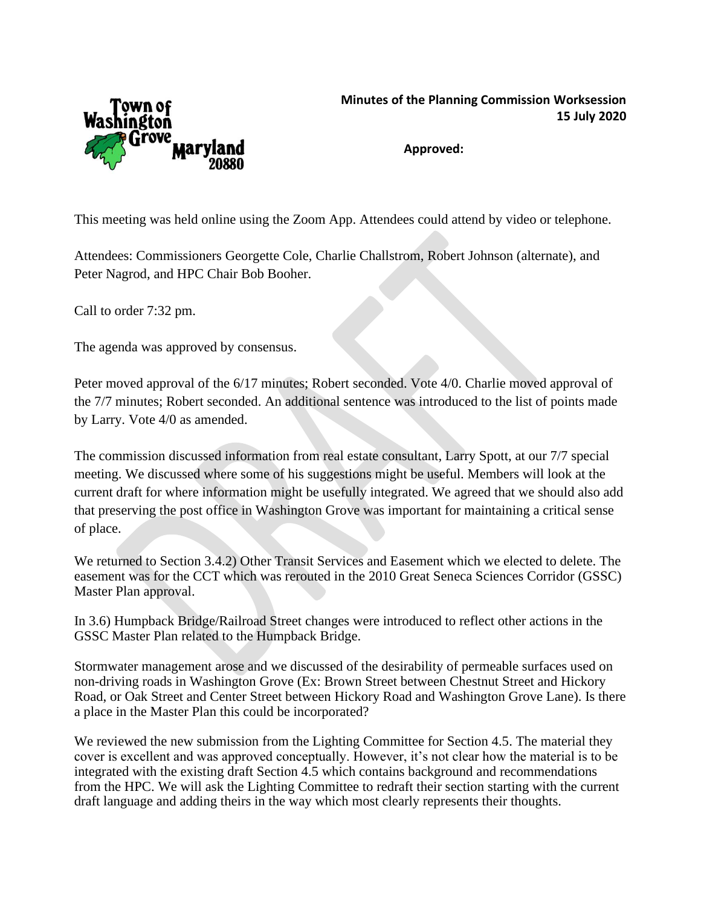

**Approved:**

This meeting was held online using the Zoom App. Attendees could attend by video or telephone.

Attendees: Commissioners Georgette Cole, Charlie Challstrom, Robert Johnson (alternate), and Peter Nagrod, and HPC Chair Bob Booher.

Call to order 7:32 pm.

The agenda was approved by consensus.

Peter moved approval of the 6/17 minutes; Robert seconded. Vote 4/0. Charlie moved approval of the 7/7 minutes; Robert seconded. An additional sentence was introduced to the list of points made by Larry. Vote 4/0 as amended.

The commission discussed information from real estate consultant, Larry Spott, at our 7/7 special meeting. We discussed where some of his suggestions might be useful. Members will look at the current draft for where information might be usefully integrated. We agreed that we should also add that preserving the post office in Washington Grove was important for maintaining a critical sense of place.

We returned to Section 3.4.2) Other Transit Services and Easement which we elected to delete. The easement was for the CCT which was rerouted in the 2010 Great Seneca Sciences Corridor (GSSC) Master Plan approval.

In 3.6) Humpback Bridge/Railroad Street changes were introduced to reflect other actions in the GSSC Master Plan related to the Humpback Bridge.

Stormwater management arose and we discussed of the desirability of permeable surfaces used on non-driving roads in Washington Grove (Ex: Brown Street between Chestnut Street and Hickory Road, or Oak Street and Center Street between Hickory Road and Washington Grove Lane). Is there a place in the Master Plan this could be incorporated?

We reviewed the new submission from the Lighting Committee for Section 4.5. The material they cover is excellent and was approved conceptually. However, it's not clear how the material is to be integrated with the existing draft Section 4.5 which contains background and recommendations from the HPC. We will ask the Lighting Committee to redraft their section starting with the current draft language and adding theirs in the way which most clearly represents their thoughts.